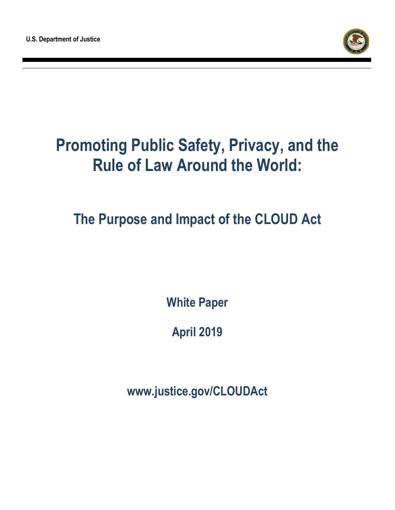

# **Promoting Public Safety, Privacy, and the Rule of Law Around the World:**

**The Purpose and Impact of the CLOUD Act**

**White Paper**

**April 2019**

**www.justice.gov/CLOUDAct**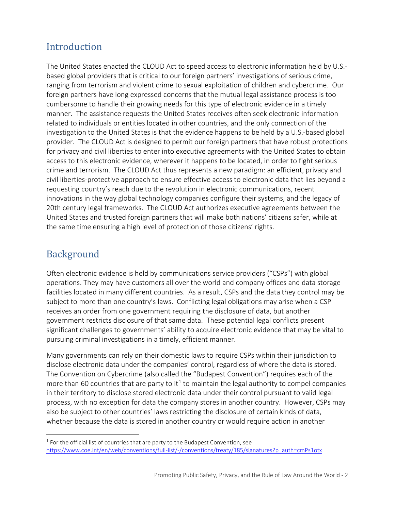### Introduction

The United States enacted the CLOUD Act to speed access to electronic information held by U.S. based global providers that is critical to our foreign partners' investigations of serious crime, ranging from terrorism and violent crime to sexual exploitation of children and cybercrime. Our foreign partners have long expressed concerns that the mutual legal assistance process is too cumbersome to handle their growing needs for this type of electronic evidence in a timely manner. The assistance requests the United States receives often seek electronic information related to individuals or entities located in other countries, and the only connection of the investigation to the United States is that the evidence happens to be held by a U.S.-based global provider. The CLOUD Act is designed to permit our foreign partners that have robust protections for privacy and civil liberties to enter into executive agreements with the United States to obtain access to this electronic evidence, wherever it happens to be located, in order to fight serious crime and terrorism. The CLOUD Act thus represents a new paradigm: an efficient, privacy and civil liberties-protective approach to ensure effective access to electronic data that lies beyond a requesting country's reach due to the revolution in electronic communications, recent innovations in the way global technology companies configure their systems, and the legacy of 20th century legal frameworks. The CLOUD Act authorizes executive agreements between the United States and trusted foreign partners that will make both nations' citizens safer, while at the same time ensuring a high level of protection of those citizens' rights.

### Background

 $\overline{a}$ 

Often electronic evidence is held by communications service providers ("CSPs") with global operations. They may have customers all over the world and company offices and data storage facilities located in many different countries. As a result, CSPs and the data they control may be subject to more than one country's laws. Conflicting legal obligations may arise when a CSP receives an order from one government requiring the disclosure of data, but another government restricts disclosure of that same data. These potential legal conflicts present significant challenges to governments' ability to acquire electronic evidence that may be vital to pursuing criminal investigations in a timely, efficient manner.

Many governments can rely on their domestic laws to require CSPs within their jurisdiction to disclose electronic data under the companies' control, regardless of where the data is stored. The Convention on Cybercrime (also called the "Budapest Convention") requires each of the more than 60 countries that are party to it<sup>[1](#page-1-0)</sup> to maintain the legal authority to compel companies in their territory to disclose stored electronic data under their control pursuant to valid legal process, with no exception for data the company stores in another country. However, CSPs may also be subject to other countries' laws restricting the disclosure of certain kinds of data, whether because the data is stored in another country or would require action in another

<span id="page-1-0"></span> $1$  For the official list of countries that are party to the Budapest Convention, see [https://www.coe.int/en/web/conventions/full-list/-/conventions/treaty/185/signatures?p\\_auth=cmPs1otx](https://www.coe.int/en/web/conventions/full-list/-/conventions/treaty/185/signatures?p_auth=cmPs1otx)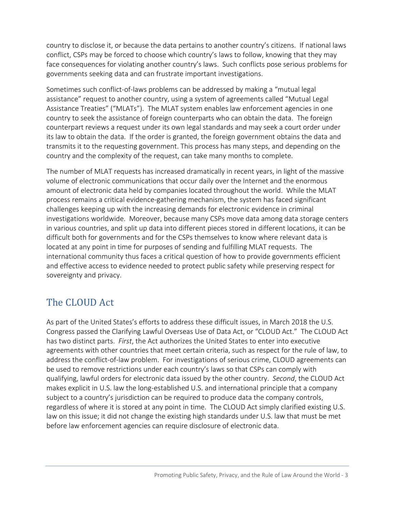country to disclose it, or because the data pertains to another country's citizens. If national laws conflict, CSPs may be forced to choose which country's laws to follow, knowing that they may face consequences for violating another country's laws. Such conflicts pose serious problems for governments seeking data and can frustrate important investigations.

Sometimes such conflict-of-laws problems can be addressed by making a "mutual legal assistance" request to another country, using a system of agreements called "Mutual Legal Assistance Treaties" ("MLATs"). The MLAT system enables law enforcement agencies in one country to seek the assistance of foreign counterparts who can obtain the data. The foreign counterpart reviews a request under its own legal standards and may seek a court order under its law to obtain the data. If the order is granted, the foreign government obtains the data and transmits it to the requesting government. This process has many steps, and depending on the country and the complexity of the request, can take many months to complete.

The number of MLAT requests has increased dramatically in recent years, in light of the massive volume of electronic communications that occur daily over the Internet and the enormous amount of electronic data held by companies located throughout the world. While the MLAT process remains a critical evidence-gathering mechanism, the system has faced significant challenges keeping up with the increasing demands for electronic evidence in criminal investigations worldwide. Moreover, because many CSPs move data among data storage centers in various countries, and split up data into different pieces stored in different locations, it can be difficult both for governments and for the CSPs themselves to know where relevant data is located at any point in time for purposes of sending and fulfilling MLAT requests. The international community thus faces a critical question of how to provide governments efficient and effective access to evidence needed to protect public safety while preserving respect for sovereignty and privacy.

### The CLOUD Act

As part of the United States's efforts to address these difficult issues, in March 2018 the U.S. Congress passed the Clarifying Lawful Overseas Use of Data Act, or "CLOUD Act." The CLOUD Act has two distinct parts. *First*, the Act authorizes the United States to enter into executive agreements with other countries that meet certain criteria, such as respect for the rule of law, to address the conflict-of-law problem. For investigations of serious crime, CLOUD agreements can be used to remove restrictions under each country's laws so that CSPs can comply with qualifying, lawful orders for electronic data issued by the other country. *Second*, the CLOUD Act makes explicit in U.S. law the long-established U.S. and international principle that a company subject to a country's jurisdiction can be required to produce data the company controls, regardless of where it is stored at any point in time. The CLOUD Act simply clarified existing U.S. law on this issue; it did not change the existing high standards under U.S. law that must be met before law enforcement agencies can require disclosure of electronic data.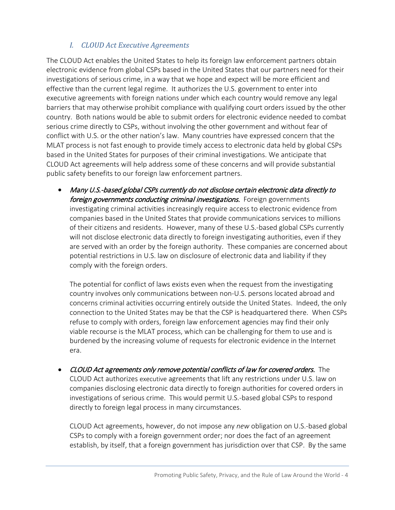#### *I. CLOUD Act Executive Agreements*

The CLOUD Act enables the United States to help its foreign law enforcement partners obtain electronic evidence from global CSPs based in the United States that our partners need for their investigations of serious crime, in a way that we hope and expect will be more efficient and effective than the current legal regime. It authorizes the U.S. government to enter into executive agreements with foreign nations under which each country would remove any legal barriers that may otherwise prohibit compliance with qualifying court orders issued by the other country. Both nations would be able to submit orders for electronic evidence needed to combat serious crime directly to CSPs, without involving the other government and without fear of conflict with U.S. or the other nation's law. Many countries have expressed concern that the MLAT process is not fast enough to provide timely access to electronic data held by global CSPs based in the United States for purposes of their criminal investigations. We anticipate that CLOUD Act agreements will help address some of these concerns and will provide substantial public safety benefits to our foreign law enforcement partners.

• Many U.S.-based global CSPs currently do not disclose certain electronic data directly to foreign governments conducting criminal investigations. Foreign governments investigating criminal activities increasingly require access to electronic evidence from companies based in the United States that provide communications services to millions of their citizens and residents. However, many of these U.S.-based global CSPs currently will not disclose electronic data directly to foreign investigating authorities, even if they are served with an order by the foreign authority. These companies are concerned about potential restrictions in U.S. law on disclosure of electronic data and liability if they comply with the foreign orders.

The potential for conflict of laws exists even when the request from the investigating country involves only communications between non-U.S. persons located abroad and concerns criminal activities occurring entirely outside the United States. Indeed, the only connection to the United States may be that the CSP is headquartered there. When CSPs refuse to comply with orders, foreign law enforcement agencies may find their only viable recourse is the MLAT process, which can be challenging for them to use and is burdened by the increasing volume of requests for electronic evidence in the Internet era.

• CLOUD Act agreements only remove potential conflicts of law for covered orders. The CLOUD Act authorizes executive agreements that lift any restrictions under U.S. law on companies disclosing electronic data directly to foreign authorities for covered orders in investigations of serious crime. This would permit U.S.-based global CSPs to respond directly to foreign legal process in many circumstances.

CLOUD Act agreements, however, do not impose any *new* obligation on U.S.-based global CSPs to comply with a foreign government order; nor does the fact of an agreement establish, by itself, that a foreign government has jurisdiction over that CSP. By the same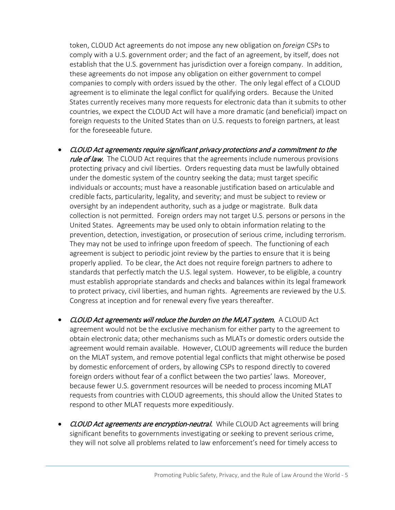token, CLOUD Act agreements do not impose any new obligation on *foreign* CSPs to comply with a U.S. government order; and the fact of an agreement, by itself, does not establish that the U.S. government has jurisdiction over a foreign company. In addition, these agreements do not impose any obligation on either government to compel companies to comply with orders issued by the other. The only legal effect of a CLOUD agreement is to eliminate the legal conflict for qualifying orders. Because the United States currently receives many more requests for electronic data than it submits to other countries, we expect the CLOUD Act will have a more dramatic (and beneficial) impact on foreign requests to the United States than on U.S. requests to foreign partners, at least for the foreseeable future.

- CLOUD Act agreements require significant privacy protections and a commitment to the rule of law. The CLOUD Act requires that the agreements include numerous provisions protecting privacy and civil liberties. Orders requesting data must be lawfully obtained under the domestic system of the country seeking the data; must target specific individuals or accounts; must have a reasonable justification based on articulable and credible facts, particularity, legality, and severity; and must be subject to review or oversight by an independent authority, such as a judge or magistrate. Bulk data collection is not permitted. Foreign orders may not target U.S. persons or persons in the United States. Agreements may be used only to obtain information relating to the prevention, detection, investigation, or prosecution of serious crime, including terrorism. They may not be used to infringe upon freedom of speech. The functioning of each agreement is subject to periodic joint review by the parties to ensure that it is being properly applied. To be clear, the Act does not require foreign partners to adhere to standards that perfectly match the U.S. legal system. However, to be eligible, a country must establish appropriate standards and checks and balances within its legal framework to protect privacy, civil liberties, and human rights. Agreements are reviewed by the U.S. Congress at inception and for renewal every five years thereafter.
- CLOUD Act agreements will reduce the burden on the MLAT system. A CLOUD Act agreement would not be the exclusive mechanism for either party to the agreement to obtain electronic data; other mechanisms such as MLATs or domestic orders outside the agreement would remain available. However, CLOUD agreements will reduce the burden on the MLAT system, and remove potential legal conflicts that might otherwise be posed by domestic enforcement of orders, by allowing CSPs to respond directly to covered foreign orders without fear of a conflict between the two parties' laws. Moreover, because fewer U.S. government resources will be needed to process incoming MLAT requests from countries with CLOUD agreements, this should allow the United States to respond to other MLAT requests more expeditiously.
- CLOUD Act agreements are encryption-neutral. While CLOUD Act agreements will bring significant benefits to governments investigating or seeking to prevent serious crime, they will not solve all problems related to law enforcement's need for timely access to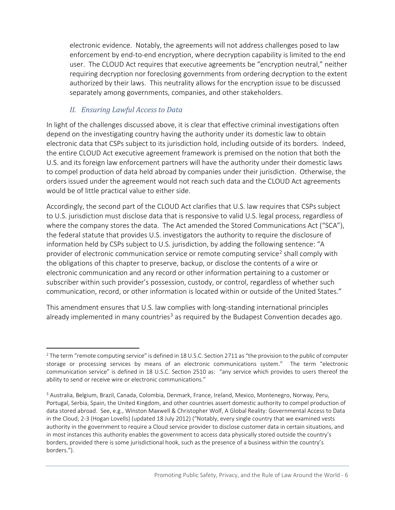electronic evidence. Notably, the agreements will not address challenges posed to law enforcement by end-to-end encryption, where decryption capability is limited to the end user. The CLOUD Act requires that executive agreements be "encryption neutral," neither requiring decryption nor foreclosing governments from ordering decryption to the extent authorized by their laws. This neutrality allows for the encryption issue to be discussed separately among governments, companies, and other stakeholders.

#### *II. Ensuring Lawful Access to Data*

In light of the challenges discussed above, it is clear that effective criminal investigations often depend on the investigating country having the authority under its domestic law to obtain electronic data that CSPs subject to its jurisdiction hold, including outside of its borders. Indeed, the entire CLOUD Act executive agreement framework is premised on the notion that both the U.S. and its foreign law enforcement partners will have the authority under their domestic laws to compel production of data held abroad by companies under their jurisdiction. Otherwise, the orders issued under the agreement would not reach such data and the CLOUD Act agreements would be of little practical value to either side.

Accordingly, the second part of the CLOUD Act clarifies that U.S. law requires that CSPs subject to U.S. jurisdiction must disclose data that is responsive to valid U.S. legal process, regardless of where the company stores the data. The Act amended the Stored Communications Act ("SCA"), the federal statute that provides U.S. investigators the authority to require the disclosure of information held by CSPs subject to U.S. jurisdiction, by adding the following sentence: "A provider of electronic communication service or remote computing service<sup>[2](#page-5-0)</sup> shall comply with the obligations of this chapter to preserve, backup, or disclose the contents of a wire or electronic communication and any record or other information pertaining to a customer or subscriber within such provider's possession, custody, or control, regardless of whether such communication, record, or other information is located within or outside of the United States."

This amendment ensures that U.S. law complies with long-standing international principles already implemented in many countries<sup>[3](#page-5-1)</sup> as required by the Budapest Convention decades ago.

<span id="page-5-0"></span> $\overline{a}$ <sup>2</sup> The term "remote computing service" is defined in 18 U.S.C. Section 2711 as "the provision to the public of computer storage or processing services by means of an electronic communications system." The term "electronic communication service" is defined in 18 U.S.C. Section 2510 as: "any service which provides to users thereof the ability to send or receive wire or electronic communications."

<span id="page-5-1"></span><sup>3</sup> Australia, Belgium, Brazil, Canada, Colombia, Denmark, France, Ireland, Mexico, Montenegro, Norway, Peru, Portugal, Serbia, Spain, the United Kingdom, and other countries assert domestic authority to compel production of data stored abroad. See, e.g., Winston Maxwell & Christopher Wolf, A Global Reality: Governmental Access to Data in the Cloud, 2-3 (Hogan Lovells) (updated 18 July 2012) ("Notably, every single country that we examined vests authority in the government to require a Cloud service provider to disclose customer data in certain situations, and in most instances this authority enables the government to access data physically stored outside the country's borders, provided there is some jurisdictional hook, such as the presence of a business within the country's borders.").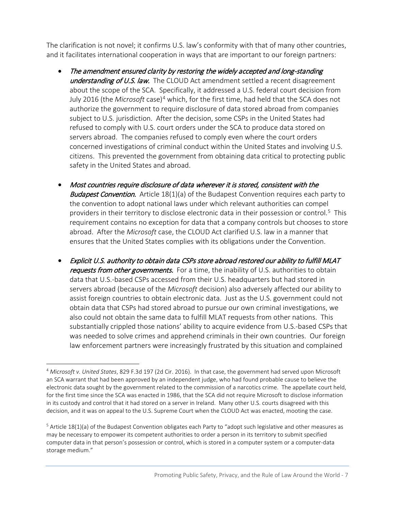The clarification is not novel; it confirms U.S. law's conformity with that of many other countries, and it facilitates international cooperation in ways that are important to our foreign partners:

- The amendment ensured clarity by restoring the widely accepted and long-standing understanding of U.S. law. The CLOUD Act amendment settled a recent disagreement about the scope of the SCA. Specifically, it addressed a U.S. federal court decision from July 2016 (the *Microsoft* case)[4](#page-6-0) which, for the first time, had held that the SCA does not authorize the government to require disclosure of data stored abroad from companies subject to U.S. jurisdiction. After the decision, some CSPs in the United States had refused to comply with U.S. court orders under the SCA to produce data stored on servers abroad. The companies refused to comply even where the court orders concerned investigations of criminal conduct within the United States and involving U.S. citizens. This prevented the government from obtaining data critical to protecting public safety in the United States and abroad.
- Most countries require disclosure of data wherever it is stored, consistent with the **Budapest Convention.** Article 18(1)(a) of the Budapest Convention requires each party to the convention to adopt national laws under which relevant authorities can compel providers in their territory to disclose electronic data in their possession or control.[5](#page-6-1) This requirement contains no exception for data that a company controls but chooses to store abroad. After the *Microsoft* case, the CLOUD Act clarified U.S. law in a manner that ensures that the United States complies with its obligations under the Convention.
- Explicit U.S. authority to obtain data CSPs store abroad restored our ability to fulfill MLAT requests from other governments. For a time, the inability of U.S. authorities to obtain data that U.S.-based CSPs accessed from their U.S. headquarters but had stored in servers abroad (because of the *Microsoft* decision) also adversely affected our ability to assist foreign countries to obtain electronic data. Just as the U.S. government could not obtain data that CSPs had stored abroad to pursue our own criminal investigations, we also could not obtain the same data to fulfill MLAT requests from other nations. This substantially crippled those nations' ability to acquire evidence from U.S.-based CSPs that was needed to solve crimes and apprehend criminals in their own countries. Our foreign law enforcement partners were increasingly frustrated by this situation and complained

<span id="page-6-0"></span> $\overline{a}$ <sup>4</sup> *Microsoft v. United States*, 829 F.3d 197 (2d Cir. 2016). In that case, the government had served upon Microsoft an SCA warrant that had been approved by an independent judge, who had found probable cause to believe the electronic data sought by the government related to the commission of a narcotics crime. The appellate court held, for the first time since the SCA was enacted in 1986, that the SCA did not require Microsoft to disclose information in its custody and control that it had stored on a server in Ireland. Many other U.S. courts disagreed with this decision, and it was on appeal to the U.S. Supreme Court when the CLOUD Act was enacted, mooting the case.

<span id="page-6-1"></span> $5$  Article 18(1)(a) of the Budapest Convention obligates each Party to "adopt such legislative and other measures as may be necessary to empower its competent authorities to order a person in its territory to submit specified computer data in that person's possession or control, which is stored in a computer system or a computer-data storage medium."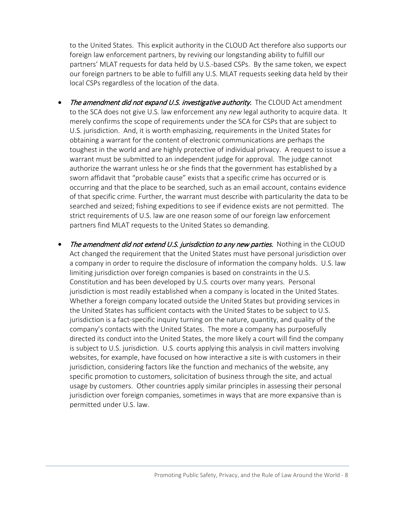to the United States. This explicit authority in the CLOUD Act therefore also supports our foreign law enforcement partners, by reviving our longstanding ability to fulfill our partners' MLAT requests for data held by U.S.-based CSPs. By the same token, we expect our foreign partners to be able to fulfill any U.S. MLAT requests seeking data held by their local CSPs regardless of the location of the data.

- The amendment did not expand U.S. investigative authority. The CLOUD Act amendment to the SCA does not give U.S. law enforcement any *new* legal authority to acquire data. It merely confirms the scope of requirements under the SCA for CSPs that are subject to U.S. jurisdiction. And, it is worth emphasizing, requirements in the United States for obtaining a warrant for the content of electronic communications are perhaps the toughest in the world and are highly protective of individual privacy. A request to issue a warrant must be submitted to an independent judge for approval. The judge cannot authorize the warrant unless he or she finds that the government has established by a sworn affidavit that "probable cause" exists that a specific crime has occurred or is occurring and that the place to be searched, such as an email account, contains evidence of that specific crime. Further, the warrant must describe with particularity the data to be searched and seized; fishing expeditions to see if evidence exists are not permitted. The strict requirements of U.S. law are one reason some of our foreign law enforcement partners find MLAT requests to the United States so demanding.
- The amendment did not extend U.S. jurisdiction to any new parties. Nothing in the CLOUD Act changed the requirement that the United States must have personal jurisdiction over a company in order to require the disclosure of information the company holds. U.S. law limiting jurisdiction over foreign companies is based on constraints in the U.S. Constitution and has been developed by U.S. courts over many years. Personal jurisdiction is most readily established when a company is located in the United States. Whether a foreign company located outside the United States but providing services in the United States has sufficient contacts with the United States to be subject to U.S. jurisdiction is a fact-specific inquiry turning on the nature, quantity, and quality of the company's contacts with the United States. The more a company has purposefully directed its conduct into the United States, the more likely a court will find the company is subject to U.S. jurisdiction. U.S. courts applying this analysis in civil matters involving websites, for example, have focused on how interactive a site is with customers in their jurisdiction, considering factors like the function and mechanics of the website, any specific promotion to customers, solicitation of business through the site, and actual usage by customers. Other countries apply similar principles in assessing their personal jurisdiction over foreign companies, sometimes in ways that are more expansive than is permitted under U.S. law.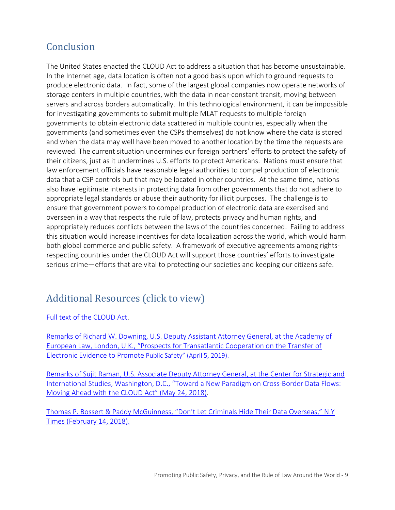### Conclusion

The United States enacted the CLOUD Act to address a situation that has become unsustainable. In the Internet age, data location is often not a good basis upon which to ground requests to produce electronic data. In fact, some of the largest global companies now operate networks of storage centers in multiple countries, with the data in near-constant transit, moving between servers and across borders automatically. In this technological environment, it can be impossible for investigating governments to submit multiple MLAT requests to multiple foreign governments to obtain electronic data scattered in multiple countries, especially when the governments (and sometimes even the CSPs themselves) do not know where the data is stored and when the data may well have been moved to another location by the time the requests are reviewed. The current situation undermines our foreign partners' efforts to protect the safety of their citizens, just as it undermines U.S. efforts to protect Americans. Nations must ensure that law enforcement officials have reasonable legal authorities to compel production of electronic data that a CSP controls but that may be located in other countries. At the same time, nations also have legitimate interests in protecting data from other governments that do not adhere to appropriate legal standards or abuse their authority for illicit purposes. The challenge is to ensure that government powers to compel production of electronic data are exercised and overseen in a way that respects the rule of law, protects privacy and human rights, and appropriately reduces conflicts between the laws of the countries concerned. Failing to address this situation would increase incentives for data localization across the world, which would harm both global commerce and public safety. A framework of executive agreements among rightsrespecting countries under the CLOUD Act will support those countries' efforts to investigate serious crime—efforts that are vital to protecting our societies and keeping our citizens safe.

### Additional Resources (click to view)

[Full text of the CLOUD Act.](https://www.justice.gov/dag/page/file/1152896/download)

[Remarks of Richard W. Downing, U.S. Deputy Assistant Attorney General, at the Academy of](https://www.justice.gov/opa/speech/deputy-assistant-attorney-general-richard-w-downing-delivers-remarks-academy-european-law)  [European Law, London, U.K., "Prospects for Transatlantic Cooperation on the Transfer of](https://www.justice.gov/opa/speech/deputy-assistant-attorney-general-richard-w-downing-delivers-remarks-academy-european-law)  [Electronic Evidence to Promote Public Safety" \(April 5, 2019\).](https://www.justice.gov/opa/speech/deputy-assistant-attorney-general-richard-w-downing-delivers-remarks-academy-european-law)

[Remarks of Sujit Raman, U.S. Associate Deputy Attorney General, at the Center for Strategic and](https://www.justice.gov/opa/speech/associate-deputy-attorney-general-sujit-raman-delivers-remarks-center-strategic-and)  [International Studies, Washington, D.C., "Toward a New Paradigm on Cross-Border Data Flows:](https://www.justice.gov/opa/speech/associate-deputy-attorney-general-sujit-raman-delivers-remarks-center-strategic-and)  [Moving Ahead with the CLOUD Act" \(May 24, 2018\).](https://www.justice.gov/opa/speech/associate-deputy-attorney-general-sujit-raman-delivers-remarks-center-strategic-and)

[Thomas P. Bossert & Paddy McGuinness, "Don't Let Criminals Hide Their Data Overseas," N.Y](https://www.nytimes.com/2018/02/14/opinion/data-overseas-legislation.html)  [Times \(February 14, 2018\).](https://www.nytimes.com/2018/02/14/opinion/data-overseas-legislation.html)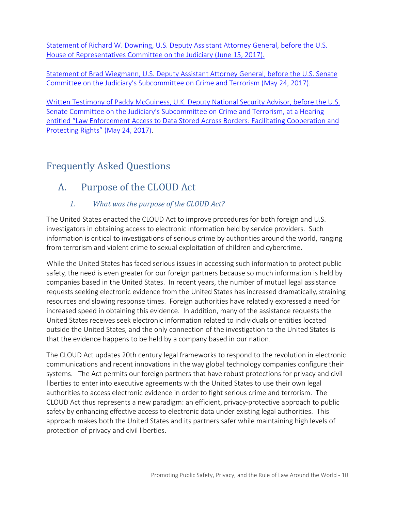[Statement of Richard W. Downing, U.S. Deputy Assistant Attorney General, before the U.S.](https://judiciary.house.gov/wp-content/uploads/2017/06/Downing-Testimony.pdf)  [House of Representatives Committee on the Judiciary \(June 15, 2017\).](https://judiciary.house.gov/wp-content/uploads/2017/06/Downing-Testimony.pdf)

[Statement of Brad Wiegmann, U.S. Deputy Assistant Attorney General, before the U.S. Senate](https://www.judiciary.senate.gov/imo/media/doc/05-24-17%20Wiegmann%20Testimony.pdf)  [Committee on the Judiciary's Subcommittee on Crime and Terrorism \(May 24, 2017\).](https://www.judiciary.senate.gov/imo/media/doc/05-24-17%20Wiegmann%20Testimony.pdf) 

[Written Testimony of Paddy McGuiness, U.K. Deputy National Security Advisor, before the U.S.](https://www.judiciary.senate.gov/imo/media/doc/05-24-17%20McGuinness%20Testimony.pdf)  [Senate Committee on the Judiciary's Subcommittee on Crime and Terrorism, at a Hearing](https://www.judiciary.senate.gov/imo/media/doc/05-24-17%20McGuinness%20Testimony.pdf)  [entitled "Law Enforcement Access to Data Stored Across Borders: Facilitating Cooperation and](https://www.judiciary.senate.gov/imo/media/doc/05-24-17%20McGuinness%20Testimony.pdf)  [Protecting Rights" \(May 24,](https://www.judiciary.senate.gov/imo/media/doc/05-24-17%20McGuinness%20Testimony.pdf) 2017).

# Frequently Asked Questions

# A. Purpose of the CLOUD Act

### *1. What was the purpose of the CLOUD Act?*

The United States enacted the CLOUD Act to improve procedures for both foreign and U.S. investigators in obtaining access to electronic information held by service providers. Such information is critical to investigations of serious crime by authorities around the world, ranging from terrorism and violent crime to sexual exploitation of children and cybercrime.

While the United States has faced serious issues in accessing such information to protect public safety, the need is even greater for our foreign partners because so much information is held by companies based in the United States. In recent years, the number of mutual legal assistance requests seeking electronic evidence from the United States has increased dramatically, straining resources and slowing response times. Foreign authorities have relatedly expressed a need for increased speed in obtaining this evidence. In addition, many of the assistance requests the United States receives seek electronic information related to individuals or entities located outside the United States, and the only connection of the investigation to the United States is that the evidence happens to be held by a company based in our nation.

The CLOUD Act updates 20th century legal frameworks to respond to the revolution in electronic communications and recent innovations in the way global technology companies configure their systems. The Act permits our foreign partners that have robust protections for privacy and civil liberties to enter into executive agreements with the United States to use their own legal authorities to access electronic evidence in order to fight serious crime and terrorism. The CLOUD Act thus represents a new paradigm: an efficient, privacy-protective approach to public safety by enhancing effective access to electronic data under existing legal authorities. This approach makes both the United States and its partners safer while maintaining high levels of protection of privacy and civil liberties.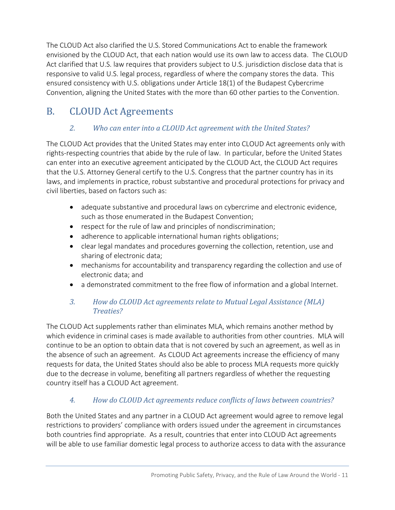The CLOUD Act also clarified the U.S. Stored Communications Act to enable the framework envisioned by the CLOUD Act, that each nation would use its own law to access data. The CLOUD Act clarified that U.S. law requires that providers subject to U.S. jurisdiction disclose data that is responsive to valid U.S. legal process, regardless of where the company stores the data. This ensured consistency with U.S. obligations under Article 18(1) of the Budapest Cybercrime Convention, aligning the United States with the more than 60 other parties to the Convention.

# B. CLOUD Act Agreements

### *2. Who can enter into a CLOUD Act agreement with the United States?*

The CLOUD Act provides that the United States may enter into CLOUD Act agreements only with rights-respecting countries that abide by the rule of law. In particular, before the United States can enter into an executive agreement anticipated by the CLOUD Act, the CLOUD Act requires that the U.S. Attorney General certify to the U.S. Congress that the partner country has in its laws, and implements in practice, robust substantive and procedural protections for privacy and civil liberties, based on factors such as:

- adequate substantive and procedural laws on cybercrime and electronic evidence, such as those enumerated in the Budapest Convention;
- respect for the rule of law and principles of nondiscrimination;
- adherence to applicable international human rights obligations;
- clear legal mandates and procedures governing the collection, retention, use and sharing of electronic data;
- mechanisms for accountability and transparency regarding the collection and use of electronic data; and
- a demonstrated commitment to the free flow of information and a global Internet.

### *3. How do CLOUD Act agreements relate to Mutual Legal Assistance (MLA) Treaties?*

The CLOUD Act supplements rather than eliminates MLA, which remains another method by which evidence in criminal cases is made available to authorities from other countries. MLA will continue to be an option to obtain data that is not covered by such an agreement, as well as in the absence of such an agreement. As CLOUD Act agreements increase the efficiency of many requests for data, the United States should also be able to process MLA requests more quickly due to the decrease in volume, benefiting all partners regardless of whether the requesting country itself has a CLOUD Act agreement.

### *4. How do CLOUD Act agreements reduce conflicts of laws between countries?*

Both the United States and any partner in a CLOUD Act agreement would agree to remove legal restrictions to providers' compliance with orders issued under the agreement in circumstances both countries find appropriate. As a result, countries that enter into CLOUD Act agreements will be able to use familiar domestic legal process to authorize access to data with the assurance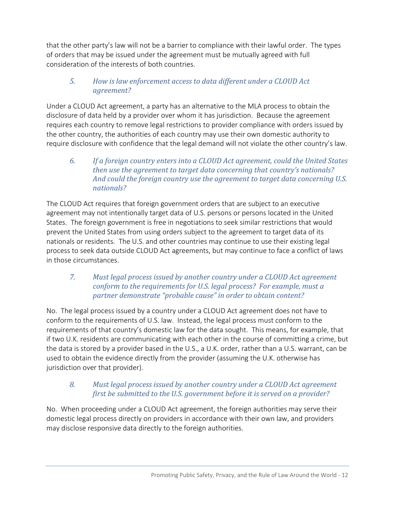that the other party's law will not be a barrier to compliance with their lawful order. The types of orders that may be issued under the agreement must be mutually agreed with full consideration of the interests of both countries.

#### *5. How is law enforcement access to data different under a CLOUD Act agreement?*

Under a CLOUD Act agreement, a party has an alternative to the MLA process to obtain the disclosure of data held by a provider over whom it has jurisdiction. Because the agreement requires each country to remove legal restrictions to provider compliance with orders issued by the other country, the authorities of each country may use their own domestic authority to require disclosure with confidence that the legal demand will not violate the other country's law.

*6. If a foreign country enters into a CLOUD Act agreement, could the United States then use the agreement to target data concerning that country's nationals? And could the foreign country use the agreement to target data concerning U.S. nationals?*

The CLOUD Act requires that foreign government orders that are subject to an executive agreement may not intentionally target data of U.S. persons or persons located in the United States. The foreign government is free in negotiations to seek similar restrictions that would prevent the United States from using orders subject to the agreement to target data of its nationals or residents. The U.S. and other countries may continue to use their existing legal process to seek data outside CLOUD Act agreements, but may continue to face a conflict of laws in those circumstances.

#### *7. Must legal process issued by another country under a CLOUD Act agreement conform to the requirements for U.S. legal process? For example, must a partner demonstrate "probable cause" in order to obtain content?*

No. The legal process issued by a country under a CLOUD Act agreement does not have to conform to the requirements of U.S. law. Instead, the legal process must conform to the requirements of that country's domestic law for the data sought. This means, for example, that if two U.K. residents are communicating with each other in the course of committing a crime, but the data is stored by a provider based in the U.S., a U.K. order, rather than a U.S. warrant, can be used to obtain the evidence directly from the provider (assuming the U.K. otherwise has jurisdiction over that provider).

#### *8. Must legal process issued by another country under a CLOUD Act agreement first be submitted to the U.S. government before it is served on a provider?*

No. When proceeding under a CLOUD Act agreement, the foreign authorities may serve their domestic legal process directly on providers in accordance with their own law, and providers may disclose responsive data directly to the foreign authorities.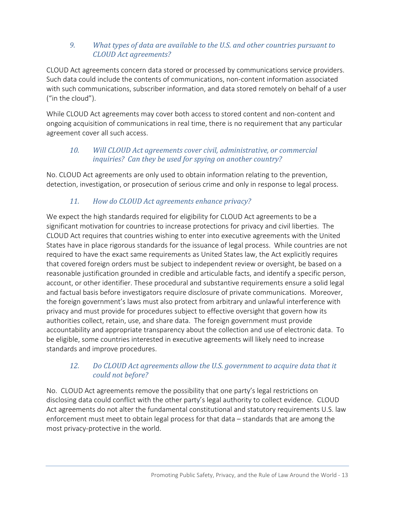#### *9. What types of data are available to the U.S. and other countries pursuant to CLOUD Act agreements?*

CLOUD Act agreements concern data stored or processed by communications service providers. Such data could include the contents of communications, non-content information associated with such communications, subscriber information, and data stored remotely on behalf of a user ("in the cloud").

While CLOUD Act agreements may cover both access to stored content and non-content and ongoing acquisition of communications in real time, there is no requirement that any particular agreement cover all such access.

#### *10. Will CLOUD Act agreements cover civil, administrative, or commercial inquiries? Can they be used for spying on another country?*

No. CLOUD Act agreements are only used to obtain information relating to the prevention, detection, investigation, or prosecution of serious crime and only in response to legal process.

#### *11. How do CLOUD Act agreements enhance privacy?*

We expect the high standards required for eligibility for CLOUD Act agreements to be a significant motivation for countries to increase protections for privacy and civil liberties. The CLOUD Act requires that countries wishing to enter into executive agreements with the United States have in place rigorous standards for the issuance of legal process. While countries are not required to have the exact same requirements as United States law, the Act explicitly requires that covered foreign orders must be subject to independent review or oversight, be based on a reasonable justification grounded in credible and articulable facts, and identify a specific person, account, or other identifier. These procedural and substantive requirements ensure a solid legal and factual basis before investigators require disclosure of private communications. Moreover, the foreign government's laws must also protect from arbitrary and unlawful interference with privacy and must provide for procedures subject to effective oversight that govern how its authorities collect, retain, use, and share data. The foreign government must provide accountability and appropriate transparency about the collection and use of electronic data. To be eligible, some countries interested in executive agreements will likely need to increase standards and improve procedures.

#### *12. Do CLOUD Act agreements allow the U.S. government to acquire data that it could not before?*

No. CLOUD Act agreements remove the possibility that one party's legal restrictions on disclosing data could conflict with the other party's legal authority to collect evidence. CLOUD Act agreements do not alter the fundamental constitutional and statutory requirements U.S. law enforcement must meet to obtain legal process for that data – standards that are among the most privacy-protective in the world.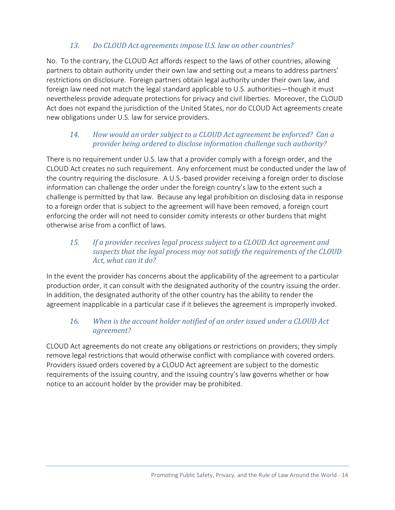#### *13. Do CLOUD Act agreements impose U.S. law on other countries?*

No. To the contrary, the CLOUD Act affords respect to the laws of other countries, allowing partners to obtain authority under their own law and setting out a means to address partners' restrictions on disclosure. Foreign partners obtain legal authority under their own law, and foreign law need not match the legal standard applicable to U.S. authorities—though it must nevertheless provide adequate protections for privacy and civil liberties. Moreover, the CLOUD Act does not expand the jurisdiction of the United States, nor do CLOUD Act agreements create new obligations under U.S. law for service providers.

#### *14. How would an order subject to a CLOUD Act agreement be enforced? Can a provider being ordered to disclose information challenge such authority?*

There is no requirement under U.S. law that a provider comply with a foreign order, and the CLOUD Act creates no such requirement. Any enforcement must be conducted under the law of the country requiring the disclosure. A U.S.-based provider receiving a foreign order to disclose information can challenge the order under the foreign country's law to the extent such a challenge is permitted by that law. Because any legal prohibition on disclosing data in response to a foreign order that is subject to the agreement will have been removed, a foreign court enforcing the order will not need to consider comity interests or other burdens that might otherwise arise from a conflict of laws.

#### *15. If a provider receives legal process subject to a CLOUD Act agreement and suspects that the legal process may not satisfy the requirements of the CLOUD Act, what can it do?*

In the event the provider has concerns about the applicability of the agreement to a particular production order, it can consult with the designated authority of the country issuing the order. In addition, the designated authority of the other country has the ability to render the agreement inapplicable in a particular case if it believes the agreement is improperly invoked.

#### *16. When is the account holder notified of an order issued under a CLOUD Act agreement?*

CLOUD Act agreements do not create any obligations or restrictions on providers; they simply remove legal restrictions that would otherwise conflict with compliance with covered orders. Providers issued orders covered by a CLOUD Act agreement are subject to the domestic requirements of the issuing country, and the issuing country's law governs whether or how notice to an account holder by the provider may be prohibited.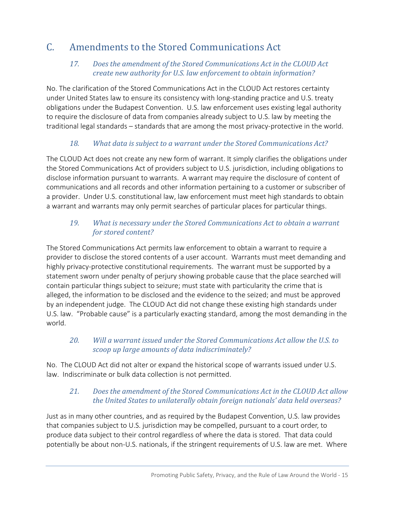# C. Amendments to the Stored Communications Act

#### *17. Does the amendment of the Stored Communications Act in the CLOUD Act create new authority for U.S. law enforcement to obtain information?*

No. The clarification of the Stored Communications Act in the CLOUD Act restores certainty under United States law to ensure its consistency with long-standing practice and U.S. treaty obligations under the Budapest Convention. U.S. law enforcement uses existing legal authority to require the disclosure of data from companies already subject to U.S. law by meeting the traditional legal standards – standards that are among the most privacy-protective in the world.

#### *18. What data is subject to a warrant under the Stored Communications Act?*

The CLOUD Act does not create any new form of warrant. It simply clarifies the obligations under the Stored Communications Act of providers subject to U.S. jurisdiction, including obligations to disclose information pursuant to warrants. A warrant may require the disclosure of content of communications and all records and other information pertaining to a customer or subscriber of a provider. Under U.S. constitutional law, law enforcement must meet high standards to obtain a warrant and warrants may only permit searches of particular places for particular things.

#### *19. What is necessary under the Stored Communications Act to obtain a warrant for stored content?*

The Stored Communications Act permits law enforcement to obtain a warrant to require a provider to disclose the stored contents of a user account. Warrants must meet demanding and highly privacy-protective constitutional requirements. The warrant must be supported by a statement sworn under penalty of perjury showing probable cause that the place searched will contain particular things subject to seizure; must state with particularity the crime that is alleged, the information to be disclosed and the evidence to the seized; and must be approved by an independent judge. The CLOUD Act did not change these existing high standards under U.S. law. "Probable cause" is a particularly exacting standard, among the most demanding in the world.

#### *20. Will a warrant issued under the Stored Communications Act allow the U.S. to scoop up large amounts of data indiscriminately?*

No. The CLOUD Act did not alter or expand the historical scope of warrants issued under U.S. law. Indiscriminate or bulk data collection is not permitted.

#### *21. Does the amendment of the Stored Communications Act in the CLOUD Act allow the United States to unilaterally obtain foreign nationals' data held overseas?*

Just as in many other countries, and as required by the Budapest Convention, U.S. law provides that companies subject to U.S. jurisdiction may be compelled, pursuant to a court order, to produce data subject to their control regardless of where the data is stored. That data could potentially be about non-U.S. nationals, if the stringent requirements of U.S. law are met. Where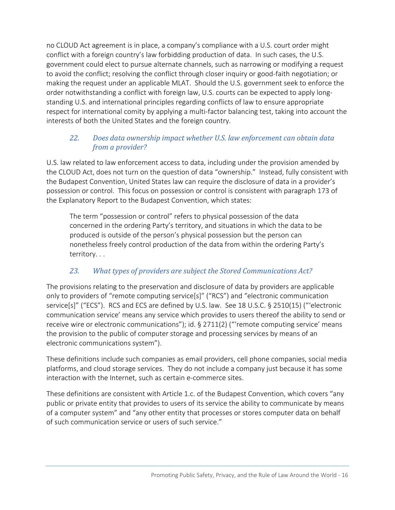no CLOUD Act agreement is in place, a company's compliance with a U.S. court order might conflict with a foreign country's law forbidding production of data. In such cases, the U.S. government could elect to pursue alternate channels, such as narrowing or modifying a request to avoid the conflict; resolving the conflict through closer inquiry or good-faith negotiation; or making the request under an applicable MLAT. Should the U.S. government seek to enforce the order notwithstanding a conflict with foreign law, U.S. courts can be expected to apply longstanding U.S. and international principles regarding conflicts of law to ensure appropriate respect for international comity by applying a multi-factor balancing test, taking into account the interests of both the United States and the foreign country.

#### *22. Does data ownership impact whether U.S. law enforcement can obtain data from a provider?*

U.S. law related to law enforcement access to data, including under the provision amended by the CLOUD Act, does not turn on the question of data "ownership." Instead, fully consistent with the Budapest Convention, United States law can require the disclosure of data in a provider's possession or control. This focus on possession or control is consistent with paragraph 173 of the Explanatory Report to the Budapest Convention, which states:

The term "possession or control" refers to physical possession of the data concerned in the ordering Party's territory, and situations in which the data to be produced is outside of the person's physical possession but the person can nonetheless freely control production of the data from within the ordering Party's territory. . .

#### *23. What types of providers are subject the Stored Communications Act?*

The provisions relating to the preservation and disclosure of data by providers are applicable only to providers of "remote computing service[s]" ("RCS") and "electronic communication service[s]" ("ECS"). RCS and ECS are defined by U.S. law. See 18 U.S.C. § 2510(15) ("'electronic communication service' means any service which provides to users thereof the ability to send or receive wire or electronic communications"); id. § 2711(2) ("'remote computing service' means the provision to the public of computer storage and processing services by means of an electronic communications system").

These definitions include such companies as email providers, cell phone companies, social media platforms, and cloud storage services. They do not include a company just because it has some interaction with the Internet, such as certain e-commerce sites.

These definitions are consistent with Article 1.c. of the Budapest Convention, which covers "any public or private entity that provides to users of its service the ability to communicate by means of a computer system" and "any other entity that processes or stores computer data on behalf of such communication service or users of such service."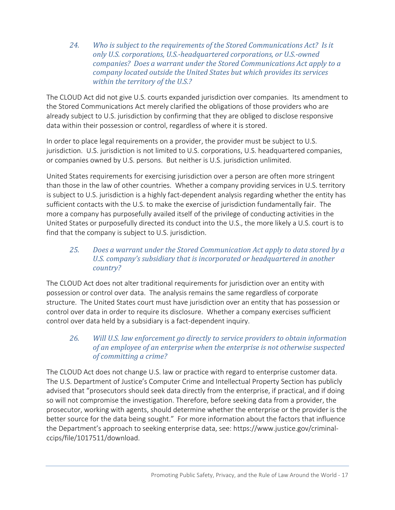*24. Who is subject to the requirements of the Stored Communications Act? Is it only U.S. corporations, U.S.-headquartered corporations, or U.S.-owned companies? Does a warrant under the Stored Communications Act apply to a company located outside the United States but which provides its services within the territory of the U.S.?*

The CLOUD Act did not give U.S. courts expanded jurisdiction over companies. Its amendment to the Stored Communications Act merely clarified the obligations of those providers who are already subject to U.S. jurisdiction by confirming that they are obliged to disclose responsive data within their possession or control, regardless of where it is stored.

In order to place legal requirements on a provider, the provider must be subject to U.S. jurisdiction. U.S. jurisdiction is not limited to U.S. corporations, U.S. headquartered companies, or companies owned by U.S. persons. But neither is U.S. jurisdiction unlimited.

United States requirements for exercising jurisdiction over a person are often more stringent than those in the law of other countries. Whether a company providing services in U.S. territory is subject to U.S. jurisdiction is a highly fact-dependent analysis regarding whether the entity has sufficient contacts with the U.S. to make the exercise of jurisdiction fundamentally fair. The more a company has purposefully availed itself of the privilege of conducting activities in the United States or purposefully directed its conduct into the U.S., the more likely a U.S. court is to find that the company is subject to U.S. jurisdiction.

#### *25. Does a warrant under the Stored Communication Act apply to data stored by a U.S. company's subsidiary that is incorporated or headquartered in another country?*

The CLOUD Act does not alter traditional requirements for jurisdiction over an entity with possession or control over data. The analysis remains the same regardless of corporate structure. The United States court must have jurisdiction over an entity that has possession or control over data in order to require its disclosure. Whether a company exercises sufficient control over data held by a subsidiary is a fact-dependent inquiry.

#### *26. Will U.S. law enforcement go directly to service providers to obtain information of an employee of an enterprise when the enterprise is not otherwise suspected of committing a crime?*

The CLOUD Act does not change U.S. law or practice with regard to enterprise customer data. The U.S. Department of Justice's Computer Crime and Intellectual Property Section has publicly advised that "prosecutors should seek data directly from the enterprise, if practical, and if doing so will not compromise the investigation. Therefore, before seeking data from a provider, the prosecutor, working with agents, should determine whether the enterprise or the provider is the better source for the data being sought." For more information about the factors that influence the Department's approach to seeking enterprise data, see: https://www.justice.gov/criminalccips/file/1017511/download.